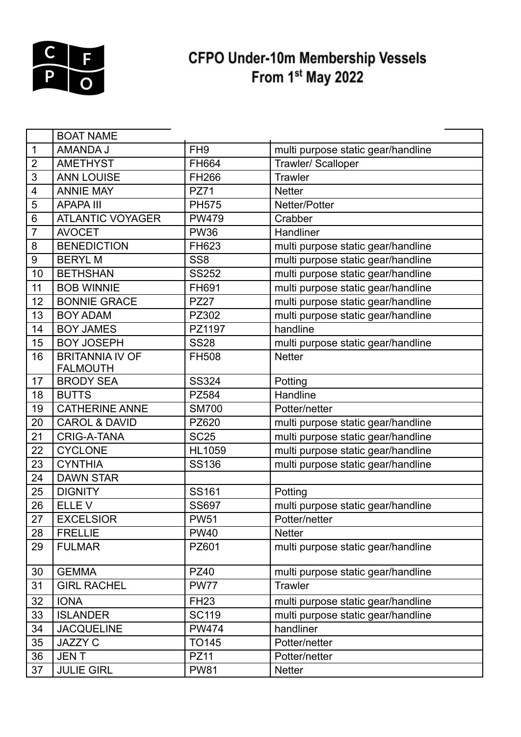

## CFPO Under-10m Membership Vessels<br>From 1<sup>st</sup> May 2022

|                 | <b>BOAT NAME</b>                          |                 |                                    |  |  |
|-----------------|-------------------------------------------|-----------------|------------------------------------|--|--|
| $\mathbf 1$     | AMANDA J                                  | FH <sub>9</sub> | multi purpose static gear/handline |  |  |
| $\overline{2}$  | <b>AMETHYST</b>                           | FH664           | Trawler/ Scalloper                 |  |  |
| 3               | <b>ANN LOUISE</b>                         | FH266           | <b>Trawler</b>                     |  |  |
| $\overline{4}$  | <b>ANNIE MAY</b>                          | <b>PZ71</b>     | <b>Netter</b>                      |  |  |
| 5               | <b>APAPA III</b>                          | <b>PH575</b>    | Netter/Potter                      |  |  |
| $6\phantom{1}6$ | <b>ATLANTIC VOYAGER</b>                   | <b>PW479</b>    | Crabber                            |  |  |
| $\overline{7}$  | <b>AVOCET</b>                             | <b>PW36</b>     | Handliner                          |  |  |
| 8               | <b>BENEDICTION</b>                        | FH623           | multi purpose static gear/handline |  |  |
| $9\,$           | <b>BERYLM</b>                             | SS <sub>8</sub> | multi purpose static gear/handline |  |  |
| 10              | <b>BETHSHAN</b>                           | <b>SS252</b>    | multi purpose static gear/handline |  |  |
| 11              | <b>BOB WINNIE</b>                         | FH691           | multi purpose static gear/handline |  |  |
| 12              | <b>BONNIE GRACE</b>                       | <b>PZ27</b>     | multi purpose static gear/handline |  |  |
| 13              | <b>BOY ADAM</b>                           | PZ302           | multi purpose static gear/handline |  |  |
| 14              | <b>BOY JAMES</b>                          | PZ1197          | handline                           |  |  |
| 15              | <b>BOY JOSEPH</b>                         | <b>SS28</b>     | multi purpose static gear/handline |  |  |
| 16              | <b>BRITANNIA IV OF</b><br><b>FALMOUTH</b> | <b>FH508</b>    | <b>Netter</b>                      |  |  |
| 17              | <b>BRODY SEA</b>                          | <b>SS324</b>    | Potting                            |  |  |
| 18              | <b>BUTTS</b>                              | <b>PZ584</b>    | Handline                           |  |  |
| 19              | <b>CATHERINE ANNE</b>                     | <b>SM700</b>    | Potter/netter                      |  |  |
| 20              | <b>CAROL &amp; DAVID</b>                  | PZ620           | multi purpose static gear/handline |  |  |
| 21              | <b>CRIG-A-TANA</b>                        | <b>SC25</b>     | multi purpose static gear/handline |  |  |
| 22              | <b>CYCLONE</b>                            | <b>HL1059</b>   | multi purpose static gear/handline |  |  |
| 23              | <b>CYNTHIA</b>                            | <b>SS136</b>    | multi purpose static gear/handline |  |  |
| 24              | <b>DAWN STAR</b>                          |                 |                                    |  |  |
| 25              | <b>DIGNITY</b>                            | <b>SS161</b>    | Potting                            |  |  |
| 26              | ELLE V                                    | <b>SS697</b>    | multi purpose static gear/handline |  |  |
| 27              | <b>EXCELSIOR</b>                          | <b>PW51</b>     | Potter/netter                      |  |  |
| 28              | <b>FRELLIE</b>                            | <b>PW40</b>     | <b>Netter</b>                      |  |  |
| 29              | <b>FULMAR</b>                             | PZ601           | multi purpose static gear/handline |  |  |
| 30              | <b>GEMMA</b>                              | <b>PZ40</b>     | multi purpose static gear/handline |  |  |
| 31              | <b>GIRL RACHEL</b>                        | <b>PW77</b>     | Trawler                            |  |  |
| 32              | <b>IONA</b>                               | <b>FH23</b>     | multi purpose static gear/handline |  |  |
| 33              | <b>ISLANDER</b>                           | <b>SC119</b>    | multi purpose static gear/handline |  |  |
| 34              | <b>JACQUELINE</b>                         | <b>PW474</b>    | handliner                          |  |  |
| 35              | JAZZY C                                   | TO145           | Potter/netter                      |  |  |
| 36              | <b>JENT</b>                               | <b>PZ11</b>     | Potter/netter                      |  |  |
| 37              | <b>JULIE GIRL</b>                         | <b>PW81</b>     | <b>Netter</b>                      |  |  |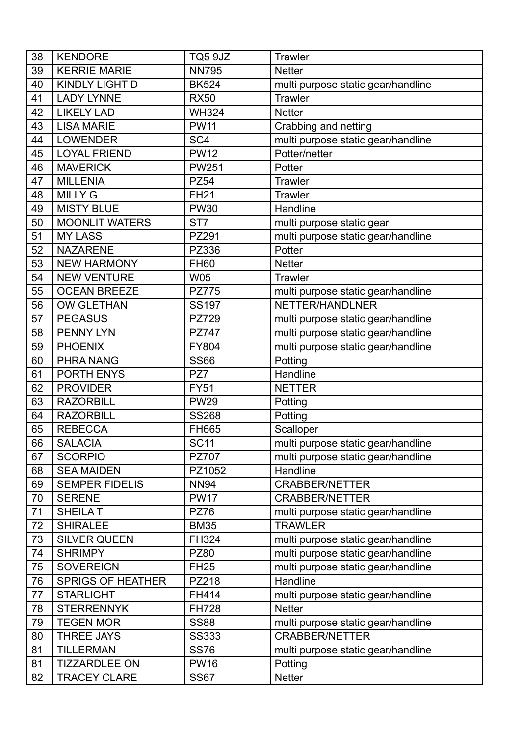| 38 | <b>KENDORE</b>           | TQ5 9JZ         | <b>Trawler</b>                     |
|----|--------------------------|-----------------|------------------------------------|
| 39 | <b>KERRIE MARIE</b>      | <b>NN795</b>    | <b>Netter</b>                      |
| 40 | <b>KINDLY LIGHT D</b>    | <b>BK524</b>    | multi purpose static gear/handline |
| 41 | <b>LADY LYNNE</b>        | <b>RX50</b>     | <b>Trawler</b>                     |
| 42 | <b>LIKELY LAD</b>        | <b>WH324</b>    | <b>Netter</b>                      |
| 43 | <b>LISA MARIE</b>        | <b>PW11</b>     | Crabbing and netting               |
| 44 | <b>LOWENDER</b>          | SC <sub>4</sub> | multi purpose static gear/handline |
| 45 | <b>LOYAL FRIEND</b>      | <b>PW12</b>     | Potter/netter                      |
| 46 | <b>MAVERICK</b>          | <b>PW251</b>    | Potter                             |
| 47 | <b>MILLENIA</b>          | <b>PZ54</b>     | <b>Trawler</b>                     |
| 48 | <b>MILLY G</b>           | <b>FH21</b>     | <b>Trawler</b>                     |
| 49 | <b>MISTY BLUE</b>        | <b>PW30</b>     | Handline                           |
| 50 | <b>MOONLIT WATERS</b>    | ST <sub>7</sub> | multi purpose static gear          |
| 51 | <b>MY LASS</b>           | PZ291           | multi purpose static gear/handline |
| 52 | <b>NAZARENE</b>          | PZ336           | Potter                             |
| 53 | <b>NEW HARMONY</b>       | <b>FH60</b>     | <b>Netter</b>                      |
| 54 | <b>NEW VENTURE</b>       | <b>W05</b>      | <b>Trawler</b>                     |
| 55 | <b>OCEAN BREEZE</b>      | <b>PZ775</b>    | multi purpose static gear/handline |
| 56 | <b>OW GLETHAN</b>        | <b>SS197</b>    | NETTER/HANDLNER                    |
| 57 | <b>PEGASUS</b>           | PZ729           | multi purpose static gear/handline |
| 58 | <b>PENNY LYN</b>         | <b>PZ747</b>    | multi purpose static gear/handline |
| 59 | <b>PHOENIX</b>           | <b>FY804</b>    | multi purpose static gear/handline |
| 60 | <b>PHRA NANG</b>         | <b>SS66</b>     | Potting                            |
| 61 | PORTH ENYS               | PZ7             | Handline                           |
| 62 | <b>PROVIDER</b>          | <b>FY51</b>     | <b>NETTER</b>                      |
| 63 | <b>RAZORBILL</b>         | <b>PW29</b>     | Potting                            |
| 64 | <b>RAZORBILL</b>         | <b>SS268</b>    | Potting                            |
| 65 | <b>REBECCA</b>           | FH665           | Scalloper                          |
| 66 | <b>SALACIA</b>           | <b>SC11</b>     | multi purpose static gear/handline |
| 67 | <b>SCORPIO</b>           | <b>PZ707</b>    | multi purpose static gear/handline |
| 68 | <b>SEA MAIDEN</b>        | PZ1052          | Handline                           |
| 69 | <b>SEMPER FIDELIS</b>    | <b>NN94</b>     | <b>CRABBER/NETTER</b>              |
| 70 | <b>SERENE</b>            | <b>PW17</b>     | <b>CRABBER/NETTER</b>              |
| 71 | <b>SHEILAT</b>           | <b>PZ76</b>     | multi purpose static gear/handline |
| 72 | <b>SHIRALEE</b>          | <b>BM35</b>     | <b>TRAWLER</b>                     |
| 73 | <b>SILVER QUEEN</b>      | FH324           | multi purpose static gear/handline |
| 74 | <b>SHRIMPY</b>           | <b>PZ80</b>     | multi purpose static gear/handline |
| 75 | <b>SOVEREIGN</b>         | <b>FH25</b>     | multi purpose static gear/handline |
| 76 | <b>SPRIGS OF HEATHER</b> | PZ218           | Handline                           |
| 77 | <b>STARLIGHT</b>         | FH414           | multi purpose static gear/handline |
| 78 | <b>STERRENNYK</b>        | <b>FH728</b>    | <b>Netter</b>                      |
| 79 | <b>TEGEN MOR</b>         | <b>SS88</b>     | multi purpose static gear/handline |
| 80 | <b>THREE JAYS</b>        | <b>SS333</b>    | <b>CRABBER/NETTER</b>              |
| 81 | <b>TILLERMAN</b>         | <b>SS76</b>     | multi purpose static gear/handline |
| 81 | <b>TIZZARDLEE ON</b>     | <b>PW16</b>     | Potting                            |
| 82 | <b>TRACEY CLARE</b>      | <b>SS67</b>     | <b>Netter</b>                      |